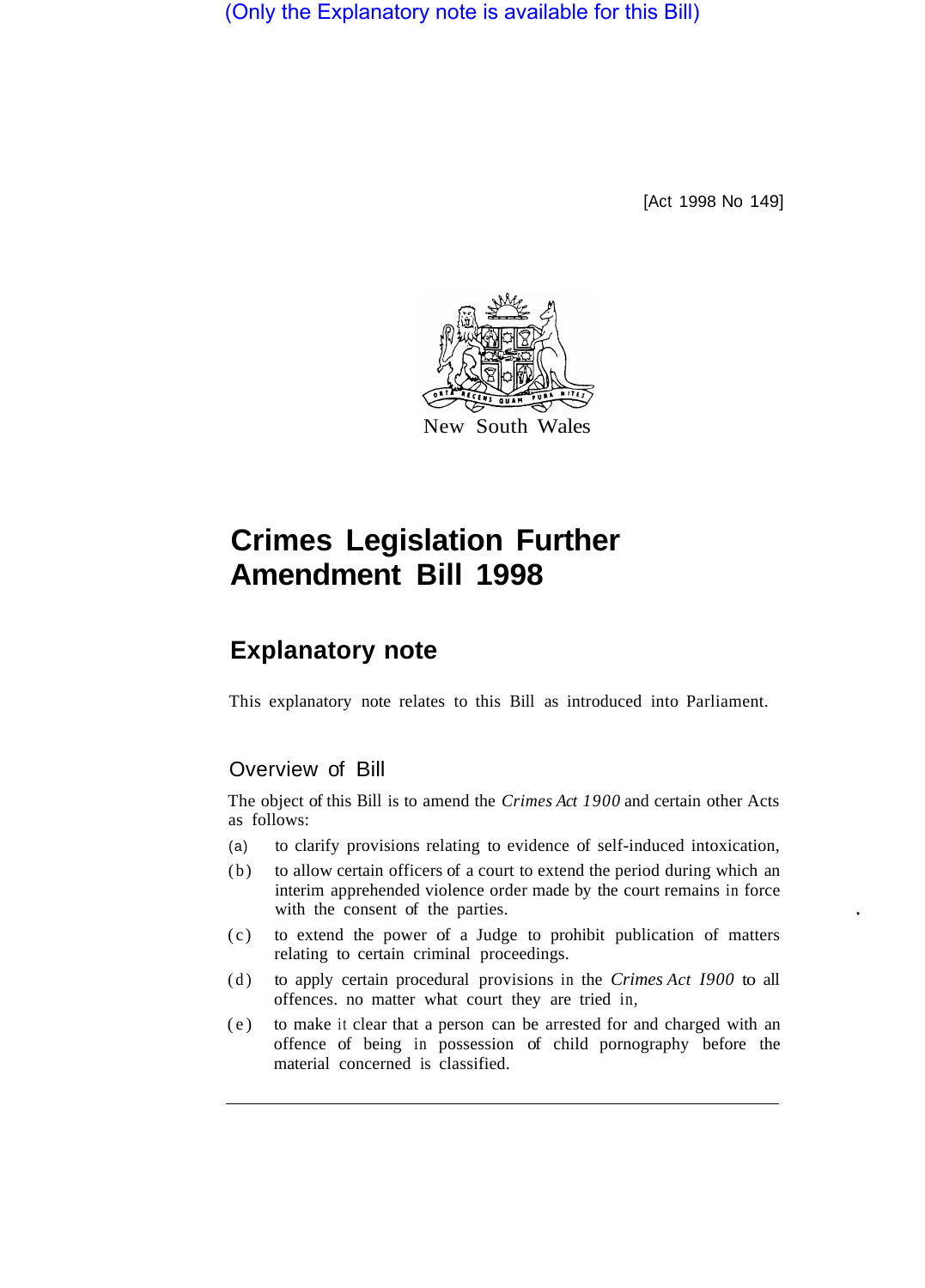(Only the Explanatory note is available for this Bill)

[Act 1998 No 149]



## **Crimes Legislation Further Amendment Bill 1998**

## **Explanatory note**

This explanatory note relates to this Bill as introduced into Parliament.

## Overview of Bill

The object of this Bill is to amend the *Crimes Act 1900* and certain other Acts as follows:

- (a) to clarify provisions relating to evidence of self-induced intoxication,
- (b) to allow certain officers of a court to extend the period during which an interim apprehended violence order made by the court remains in force with the consent of the parties.
- (c) to extend the power of a Judge to prohibit publication of matters relating to certain criminal proceedings.
- (d) to apply certain procedural provisions in the *Crimes Act I900* to all offences. no matter what court they are tried in,
- (e) to make it clear that a person can be arrested for and charged with an offence of being in possession of child pornography before the material concerned is classified.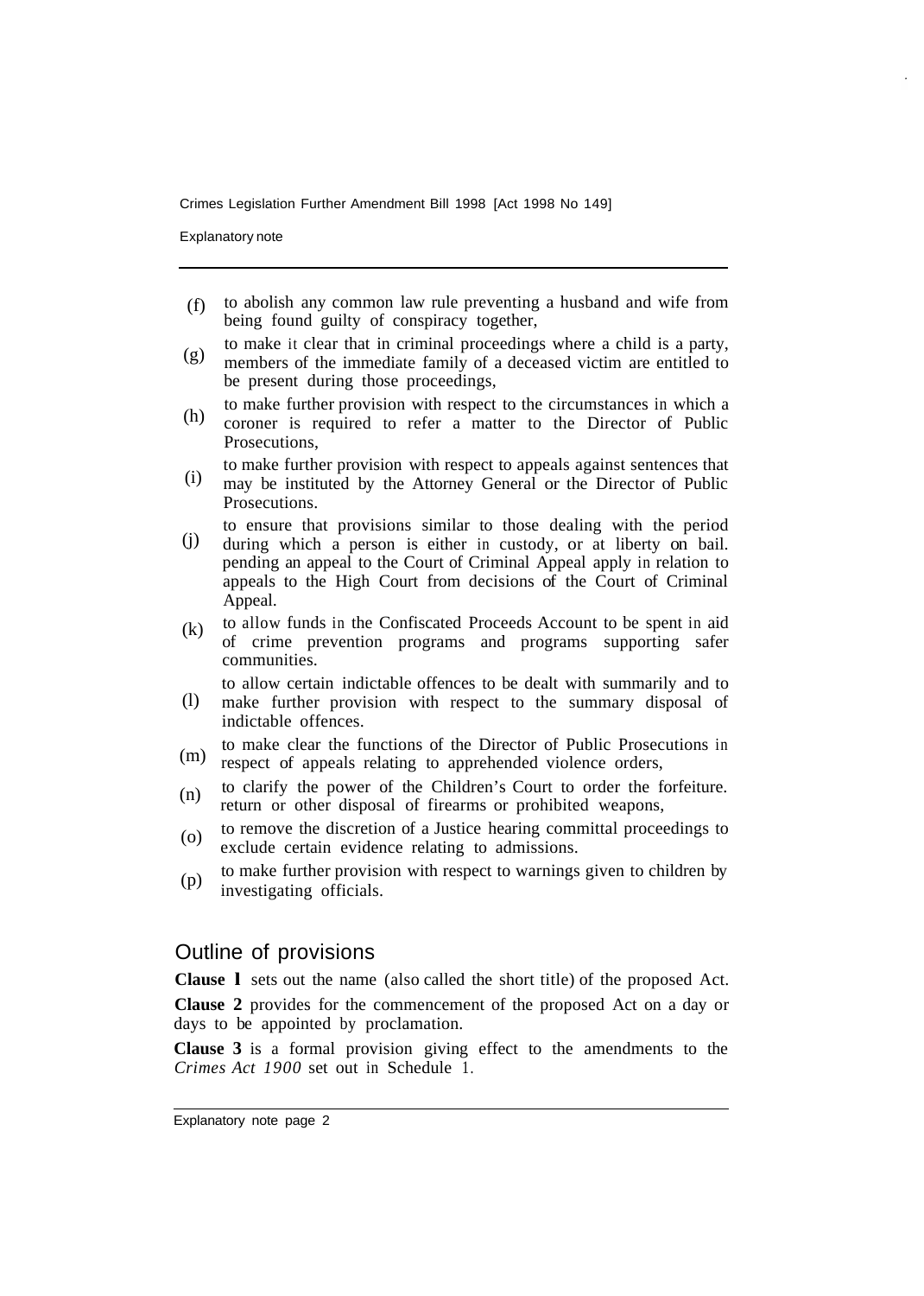Crimes Legislation Further Amendment Bill 1998 [Act 1998 No 149]

Explanatory note

- to abolish any common law rule preventing a husband and wife from being found guilty of conspiracy together, (f)
- to make it clear that in criminal proceedings where a child is a party, members of the immediate family of a deceased victim are entitled to be present during those proceedings, (g)
- to make further provision with respect to the circumstances in which a coroner is required to refer a matter to the Director of Public Prosecutions, (h)
- to make further provision with respect to appeals against sentences that may be instituted by the Attorney General or the Director of Public (i)
- Prosecutions. to ensure that provisions similar to those dealing with the period
- during which a person is either in custody, or at liberty on bail. pending an appeal to the Court of Criminal Appeal apply in relation to appeals to the High Court from decisions of the Court of Criminal Appeal. (j)
- to allow funds in the Confiscated Proceeds Account to be spent in aid of crime prevention programs and programs supporting safer communities. (k)

to allow certain indictable offences to be dealt with summarily and to

- make further provision with respect to the summary disposal of indictable offences. (l)
- to make clear the functions of the Director of Public Prosecutions in respect of appeals relating to apprehended violence orders, (m)
- to clarify the power of the Children's Court to order the forfeiture. return or other disposal of firearms or prohibited weapons, (n)
- to remove the discretion of a Justice hearing committal proceedings to exclude certain evidence relating to admissions. (o)
- to make further provision with respect to warnings given to children by investigating officials. (p)

## Outline of provisions

**Clause l** sets out the name (also called the short title) of the proposed Act.

**Clause 2** provides for the commencement of the proposed Act on a day or days to be appointed by proclamation.

**Clause 3** is a formal provision giving effect to the amendments to the *Crimes Act 1900* set out in Schedule 1.